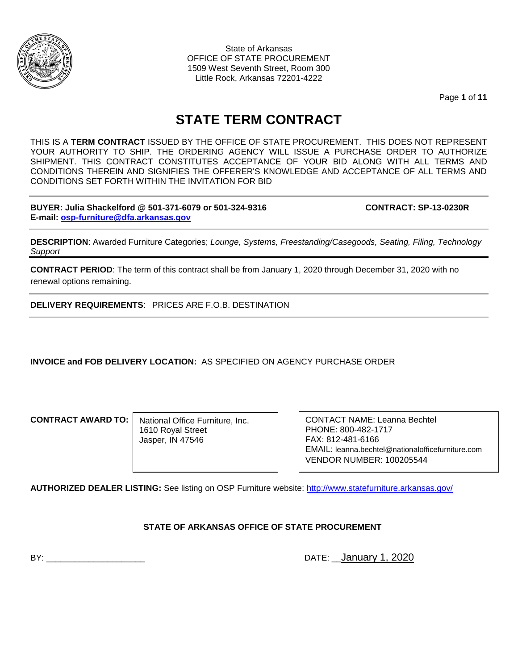

State of Arkansas OFFICE OF STATE PROCUREMENT 1509 West Seventh Street, Room 300 Little Rock, Arkansas 72201-4222

Page **1** of **11**

# **STATE TERM CONTRACT**

THIS IS A **TERM CONTRACT** ISSUED BY THE OFFICE OF STATE PROCUREMENT. THIS DOES NOT REPRESENT YOUR AUTHORITY TO SHIP. THE ORDERING AGENCY WILL ISSUE A PURCHASE ORDER TO AUTHORIZE SHIPMENT. THIS CONTRACT CONSTITUTES ACCEPTANCE OF YOUR BID ALONG WITH ALL TERMS AND CONDITIONS THEREIN AND SIGNIFIES THE OFFERER'S KNOWLEDGE AND ACCEPTANCE OF ALL TERMS AND CONDITIONS SET FORTH WITHIN THE INVITATION FOR BID

**BUYER: Julia Shackelford @ 501-371-6079 or 501-324-9316 CONTRACT: SP-13-0230R E-mail: [osp-furniture@dfa.arkansas.gov](mailto:osp-furniture@dfa.arkansas.gov)**

**DESCRIPTION**: Awarded Furniture Categories; *Lounge, Systems, Freestanding/Casegoods, Seating, Filing, Technology Support*

**CONTRACT PERIOD**: The term of this contract shall be from January 1, 2020 through December 31, 2020 with no renewal options remaining.

**DELIVERY REQUIREMENTS**: PRICES ARE F.O.B. DESTINATION

**INVOICE and FOB DELIVERY LOCATION:** AS SPECIFIED ON AGENCY PURCHASE ORDER

**CONTRACT AWARD TO:**

National Office Furniture, Inc. 1610 Royal Street Jasper, IN 47546

CONTACT NAME: Leanna Bechtel PHONE: 800-482-1717 FAX: 812-481-6166 EMAIL: leanna.bechtel@nationalofficefurniture.com VENDOR NUMBER: 100205544

**AUTHORIZED DEALER LISTING:** See listing on OSP Furniture website:<http://www.statefurniture.arkansas.gov/>

### **STATE OF ARKANSAS OFFICE OF STATE PROCUREMENT**

BY: **EXECUTE:** DATE: January 1, 2020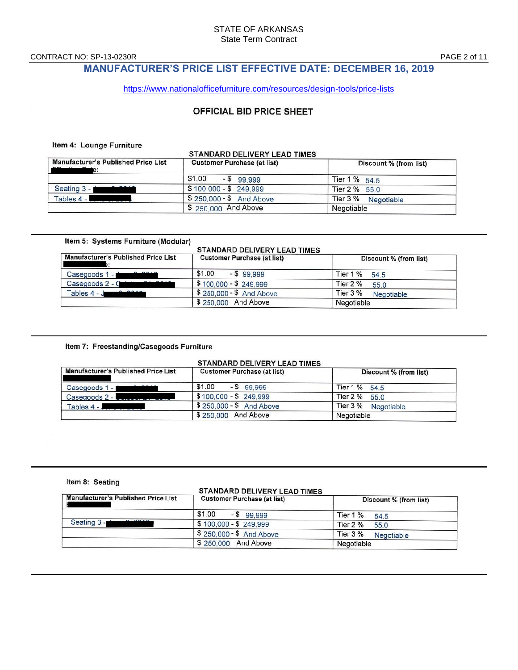CONTRACT NO: SP-13-0230R PAGE 2 of 11

## **MANUFACTURER'S PRICE LIST EFFECTIVE DATE: DECEMBER 16, 2019**

<https://www.nationalofficefurniture.com/resources/design-tools/price-lists>

### OFFICIAL BID PRICE SHEET

#### Item 4: Lounge Furniture

|                                                            | STANDARD DELIVERY LEAD TIMES       |                        |
|------------------------------------------------------------|------------------------------------|------------------------|
| <b>Manufacturer's Published Price List</b><br>$\mathbf{r}$ | <b>Customer Purchase (at list)</b> | Discount % (from list) |
|                                                            | \$1.00<br>$-$ \$ 99,999            | Tier 1 % 54.5          |
| 0.0010<br>Seating 3 -                                      | \$100,000 - \$249,999              | Tier 2 % 55.0          |
| Tables 4 - <b>Allen Barbon</b>                             | \$250,000 - \$ And Above           | Tier 3 % Negotiable    |
|                                                            | \$ 250,000 And Above               | Negotiable             |

#### Item 5: Systems Furniture (Modular)

### STANDARD DELIVERY LEAD TIMES

| <b>Manufacturer's Published Price List</b> | <b>Customer Purchase (at list)</b> | Discount % (from list)   |
|--------------------------------------------|------------------------------------|--------------------------|
| 0.0010<br>Casegoods 1 -                    | \$1.00<br>$-599.999$               | Tier $1\%$<br>54.5       |
| Casegoods 2 - 0                            | $$100,000 - $249,999$              | Tier $2\%$<br>55.0       |
| 0.0018<br>Tables $4 - J$                   | \$250,000 - \$ And Above           | Tier $3\%$<br>Negotiable |
|                                            | \$250,000 And Above                | Negotiable               |

#### Item 7: Freestanding/Casegoods Furniture

#### STANDARD DELIVERY LEAD TIMES

| <b>Manufacturer's Published Price List</b> | <b>Customer Purchase (at list)</b> | Discount % (from list) |
|--------------------------------------------|------------------------------------|------------------------|
| 0.010<br>Casegoods 1 -                     | \$1.00<br>$-$ \$ 99.999            | Tier 1 % 54.5          |
| $\text{Caseqoods } 2 - \text{Caseq}$       | $$100.000 - $249.999$              | Tier 2 % 55.0          |
| Tables 4 - J                               | $$250,000 - $$ And Above           | Tier 3 % Negotiable    |
|                                            | \$250,000 And Above                | Negotiable             |

#### Item 8: Seating

#### STANDARD DELIVERY LEAD TIMES

| <b>Manufacturer's Published Price List</b> | <b>Customer Purchase (at list)</b> | Discount % (from list)        |
|--------------------------------------------|------------------------------------|-------------------------------|
|                                            | \$1.00<br>$-599.999$               | Tier $1\%$<br>54.5            |
| 0.0010<br>Seating 3 -                      | $$100,000 - $249,999$              | Tier 2 %<br>55.0              |
|                                            | \$250,000 - \$ And Above           | Tier 3 %<br><b>Negotiable</b> |
|                                            | \$250,000 And Above                | Negotiable                    |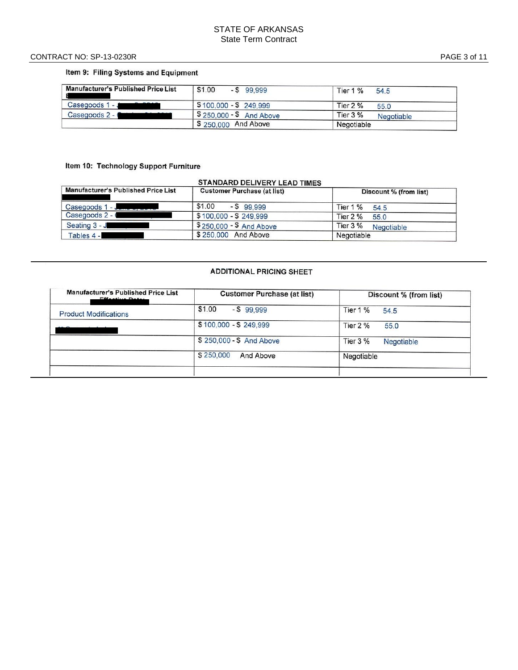#### CONTRACT NO: SP -13 -0230R PAGE

### Item 9: Filing Systems and Equipment

| <b>Manufacturer's Published Price List</b> | \$1.00<br>$-$ \$ 99.999                   | Tier 1 %<br>54.5         |  |
|--------------------------------------------|-------------------------------------------|--------------------------|--|
| $\sim$ $\sim$ $\sim$<br>Casegoods 1 - J    | $$100.000 - $249.999$                     | Tier 2 %<br>55.0         |  |
| Casegoods 2 - C                            | $\sqrt{5}$ 250,000 - $\sqrt{5}$ And Above | Tier $3\%$<br>Negotiable |  |
|                                            | \$250,000 And Above                       | Negotiable               |  |

### Item 10: Technology Support Furniture

#### **STANDARD DELIVERY LEAD TIMES**

| Manufacturer's Published Price List                                                                                                                                                                                                                     | <b>Customer Purchase (at list)</b> | Discount % (from list) |
|---------------------------------------------------------------------------------------------------------------------------------------------------------------------------------------------------------------------------------------------------------|------------------------------------|------------------------|
| Casegoods 1 - J<br><u> a strong programme to the strong programme of the strong programme of the strong programme of the strong programme of the strong programme of the strong programme of the strong programme of the strong programme of the st</u> | \$1.00<br>$-$ \$ 99.999            | Tier 1 %<br>54.5       |
| Casegoods 2 - 0                                                                                                                                                                                                                                         | $$100,000 - $249,999$              | Tier $2\%$<br>55.0     |
| Seating 3 - J                                                                                                                                                                                                                                           | \$250,000 - \$ And Above           | Tier 3 %<br>Negotiable |
| Tables 4 -                                                                                                                                                                                                                                              | \$250,000 And Above                | Negotiable             |

#### **ADDITIONAL PRICING SHEET**

| <b>Manufacturer's Published Price List</b><br>Effective Bater | <b>Customer Purchase (at list)</b> | Discount % (from list)        |
|---------------------------------------------------------------|------------------------------------|-------------------------------|
| <b>Product Modifications</b>                                  | \$1.00<br>$-$ \$99.999             | Tier 1 %<br>54.5              |
| $+$ $\sim$ $\sim$ $+$ $+$ $+$ $-$                             | $$100,000 - $249,999$              | Tier $2\%$<br>55.0            |
|                                                               | \$250,000 - \$ And Above           | <b>Tier 3 %</b><br>Negotiable |
|                                                               | \$250,000<br>And Above             | Negotiable                    |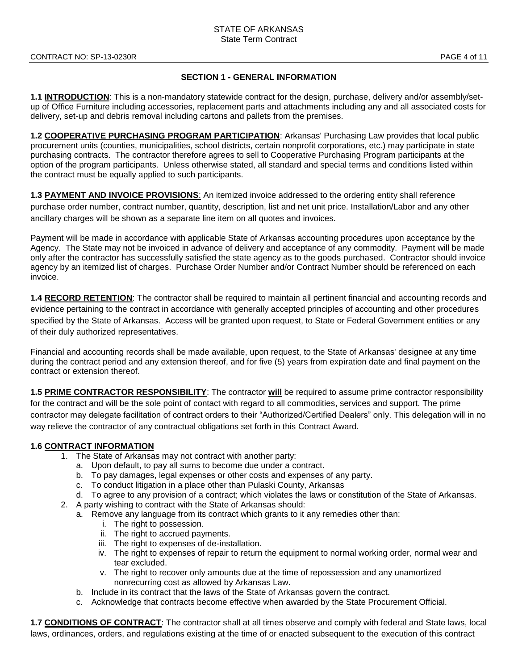#### **SECTION 1 - GENERAL INFORMATION**

**1.1 INTRODUCTION**: This is a non-mandatory statewide contract for the design, purchase, delivery and/or assembly/setup of Office Furniture including accessories, replacement parts and attachments including any and all associated costs for delivery, set-up and debris removal including cartons and pallets from the premises.

**1.2 COOPERATIVE PURCHASING PROGRAM PARTICIPATION**: Arkansas' Purchasing Law provides that local public procurement units (counties, municipalities, school districts, certain nonprofit corporations, etc.) may participate in state purchasing contracts. The contractor therefore agrees to sell to Cooperative Purchasing Program participants at the option of the program participants. Unless otherwise stated, all standard and special terms and conditions listed within the contract must be equally applied to such participants.

**1.3 PAYMENT AND INVOICE PROVISIONS**: An itemized invoice addressed to the ordering entity shall reference purchase order number, contract number, quantity, description, list and net unit price. Installation/Labor and any other ancillary charges will be shown as a separate line item on all quotes and invoices.

Payment will be made in accordance with applicable State of Arkansas accounting procedures upon acceptance by the Agency. The State may not be invoiced in advance of delivery and acceptance of any commodity. Payment will be made only after the contractor has successfully satisfied the state agency as to the goods purchased. Contractor should invoice agency by an itemized list of charges. Purchase Order Number and/or Contract Number should be referenced on each invoice.

**1.4 RECORD RETENTION**: The contractor shall be required to maintain all pertinent financial and accounting records and evidence pertaining to the contract in accordance with generally accepted principles of accounting and other procedures specified by the State of Arkansas. Access will be granted upon request, to State or Federal Government entities or any of their duly authorized representatives.

Financial and accounting records shall be made available, upon request, to the State of Arkansas' designee at any time during the contract period and any extension thereof, and for five (5) years from expiration date and final payment on the contract or extension thereof.

**1.5 PRIME CONTRACTOR RESPONSIBILITY**: The contractor **will** be required to assume prime contractor responsibility for the contract and will be the sole point of contact with regard to all commodities, services and support. The prime contractor may delegate facilitation of contract orders to their "Authorized/Certified Dealers" only. This delegation will in no way relieve the contractor of any contractual obligations set forth in this Contract Award.

### **1.6 CONTRACT INFORMATION**

- 1. The State of Arkansas may not contract with another party:
	- a. Upon default, to pay all sums to become due under a contract.
	- b. To pay damages, legal expenses or other costs and expenses of any party.
	- c. To conduct litigation in a place other than Pulaski County, Arkansas
	- d. To agree to any provision of a contract; which violates the laws or constitution of the State of Arkansas.
- 2. A party wishing to contract with the State of Arkansas should:
	- a. Remove any language from its contract which grants to it any remedies other than:
		- i. The right to possession.
		- ii. The right to accrued payments.
		- iii. The right to expenses of de-installation.
		- iv. The right to expenses of repair to return the equipment to normal working order, normal wear and tear excluded.
		- v. The right to recover only amounts due at the time of repossession and any unamortized nonrecurring cost as allowed by Arkansas Law.
	- b. Include in its contract that the laws of the State of Arkansas govern the contract.
	- c. Acknowledge that contracts become effective when awarded by the State Procurement Official.

**1.7 CONDITIONS OF CONTRACT**: The contractor shall at all times observe and comply with federal and State laws, local laws, ordinances, orders, and regulations existing at the time of or enacted subsequent to the execution of this contract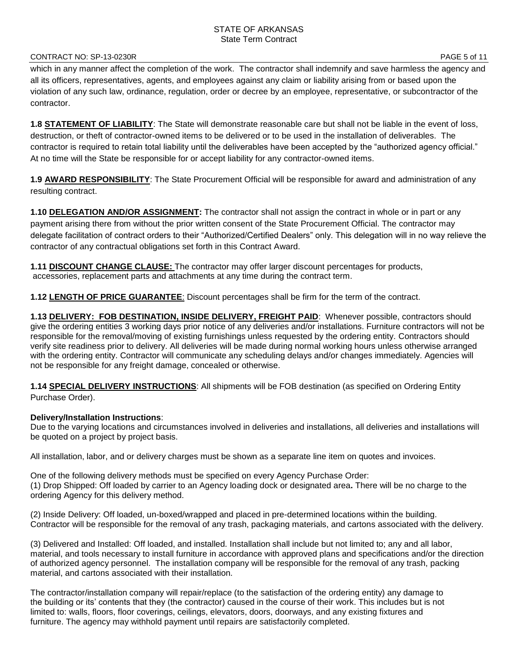#### CONTRACT NO: SP-13-0230R PAGE 5 of 11

which in any manner affect the completion of the work. The contractor shall indemnify and save harmless the agency and all its officers, representatives, agents, and employees against any claim or liability arising from or based upon the violation of any such law, ordinance, regulation, order or decree by an employee, representative, or subcontractor of the contractor.

**1.8 STATEMENT OF LIABILITY**: The State will demonstrate reasonable care but shall not be liable in the event of loss, destruction, or theft of contractor-owned items to be delivered or to be used in the installation of deliverables. The contractor is required to retain total liability until the deliverables have been accepted by the "authorized agency official." At no time will the State be responsible for or accept liability for any contractor-owned items.

**1.9 AWARD RESPONSIBILITY**: The State Procurement Official will be responsible for award and administration of any resulting contract.

**1.10 DELEGATION AND/OR ASSIGNMENT:** The contractor shall not assign the contract in whole or in part or any payment arising there from without the prior written consent of the State Procurement Official. The contractor may delegate facilitation of contract orders to their "Authorized/Certified Dealers" only. This delegation will in no way relieve the contractor of any contractual obligations set forth in this Contract Award.

**1.11 DISCOUNT CHANGE CLAUSE:** The contractor may offer larger discount percentages for products, accessories, replacement parts and attachments at any time during the contract term.

**1.12 LENGTH OF PRICE GUARANTEE**: Discount percentages shall be firm for the term of the contract.

**1.13 DELIVERY: FOB DESTINATION, INSIDE DELIVERY, FREIGHT PAID**: Whenever possible, contractors should give the ordering entities 3 working days prior notice of any deliveries and/or installations. Furniture contractors will not be responsible for the removal/moving of existing furnishings unless requested by the ordering entity. Contractors should verify site readiness prior to delivery. All deliveries will be made during normal working hours unless otherwise arranged with the ordering entity. Contractor will communicate any scheduling delays and/or changes immediately. Agencies will not be responsible for any freight damage, concealed or otherwise.

**1.14 SPECIAL DELIVERY INSTRUCTIONS**: All shipments will be FOB destination (as specified on Ordering Entity Purchase Order).

### **Delivery/Installation Instructions**:

Due to the varying locations and circumstances involved in deliveries and installations, all deliveries and installations will be quoted on a project by project basis.

All installation, labor, and or delivery charges must be shown as a separate line item on quotes and invoices.

One of the following delivery methods must be specified on every Agency Purchase Order: (1) Drop Shipped: Off loaded by carrier to an Agency loading dock or designated area**.** There will be no charge to the ordering Agency for this delivery method.

(2) Inside Delivery: Off loaded, un-boxed/wrapped and placed in pre-determined locations within the building. Contractor will be responsible for the removal of any trash, packaging materials, and cartons associated with the delivery.

(3) Delivered and Installed: Off loaded, and installed. Installation shall include but not limited to; any and all labor, material, and tools necessary to install furniture in accordance with approved plans and specifications and/or the direction of authorized agency personnel. The installation company will be responsible for the removal of any trash, packing material, and cartons associated with their installation.

The contractor/installation company will repair/replace (to the satisfaction of the ordering entity) any damage to the building or its' contents that they (the contractor) caused in the course of their work. This includes but is not limited to: walls, floors, floor coverings, ceilings, elevators, doors, doorways, and any existing fixtures and furniture. The agency may withhold payment until repairs are satisfactorily completed.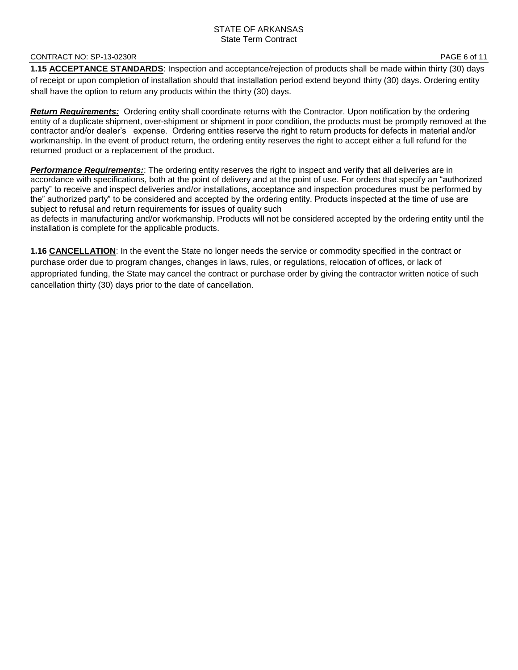#### CONTRACT NO: SP-13-0230R PAGE 6 of 11

**1.15 ACCEPTANCE STANDARDS**: Inspection and acceptance/rejection of products shall be made within thirty (30) days of receipt or upon completion of installation should that installation period extend beyond thirty (30) days. Ordering entity shall have the option to return any products within the thirty (30) days.

*Return Requirements:* Ordering entity shall coordinate returns with the Contractor. Upon notification by the ordering entity of a duplicate shipment, over-shipment or shipment in poor condition, the products must be promptly removed at the contractor and/or dealer's expense. Ordering entities reserve the right to return products for defects in material and/or workmanship. In the event of product return, the ordering entity reserves the right to accept either a full refund for the returned product or a replacement of the product.

*Performance Requirements:*: The ordering entity reserves the right to inspect and verify that all deliveries are in accordance with specifications, both at the point of delivery and at the point of use. For orders that specify an "authorized party" to receive and inspect deliveries and/or installations, acceptance and inspection procedures must be performed by the" authorized party" to be considered and accepted by the ordering entity. Products inspected at the time of use are subject to refusal and return requirements for issues of quality such

as defects in manufacturing and/or workmanship. Products will not be considered accepted by the ordering entity until the installation is complete for the applicable products.

**1.16 CANCELLATION**: In the event the State no longer needs the service or commodity specified in the contract or purchase order due to program changes, changes in laws, rules, or regulations, relocation of offices, or lack of appropriated funding, the State may cancel the contract or purchase order by giving the contractor written notice of such cancellation thirty (30) days prior to the date of cancellation.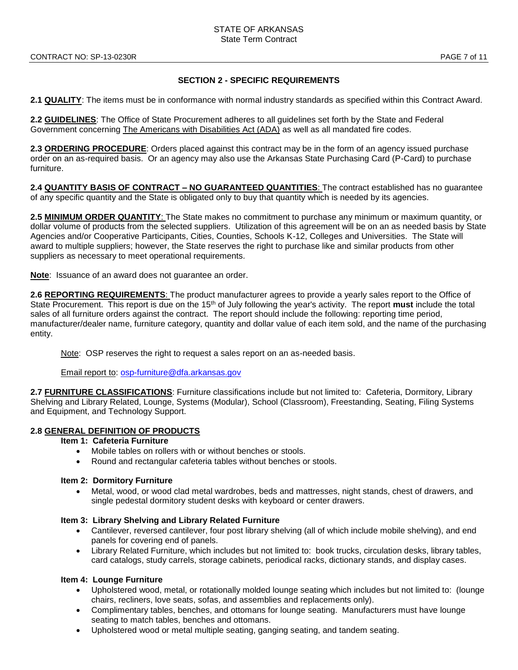#### **SECTION 2 - SPECIFIC REQUIREMENTS**

**2.1 QUALITY**: The items must be in conformance with normal industry standards as specified within this Contract Award.

**2.2 GUIDELINES**: The Office of State Procurement adheres to all guidelines set forth by the State and Federal Government concerning The Americans with Disabilities Act (ADA) as well as all mandated fire codes.

**2.3 ORDERING PROCEDURE**: Orders placed against this contract may be in the form of an agency issued purchase order on an as-required basis. Or an agency may also use the Arkansas State Purchasing Card (P-Card) to purchase furniture.

**2.4 QUANTITY BASIS OF CONTRACT – NO GUARANTEED QUANTITIES**: The contract established has no guarantee of any specific quantity and the State is obligated only to buy that quantity which is needed by its agencies.

**2.5 MINIMUM ORDER QUANTITY**: The State makes no commitment to purchase any minimum or maximum quantity, or dollar volume of products from the selected suppliers. Utilization of this agreement will be on an as needed basis by State Agencies and/or Cooperative Participants, Cities, Counties, Schools K-12, Colleges and Universities. The State will award to multiple suppliers; however, the State reserves the right to purchase like and similar products from other suppliers as necessary to meet operational requirements.

**Note**: Issuance of an award does not guarantee an order.

**2.6 REPORTING REQUIREMENTS**: The product manufacturer agrees to provide a yearly sales report to the Office of State Procurement. This report is due on the 15th of July following the year's activity. The report **must** include the total sales of all furniture orders against the contract. The report should include the following: reporting time period, manufacturer/dealer name, furniture category, quantity and dollar value of each item sold, and the name of the purchasing entity.

Note: OSP reserves the right to request a sales report on an as-needed basis.

Email report to: [osp-furniture@dfa.arkansas.gov](mailto:osp-furniture@dfa.arkansas.gov)

**2.7 FURNITURE CLASSIFICATIONS**: Furniture classifications include but not limited to: Cafeteria, Dormitory, Library Shelving and Library Related, Lounge, Systems (Modular), School (Classroom), Freestanding, Seating, Filing Systems and Equipment, and Technology Support.

#### **2.8 GENERAL DEFINITION OF PRODUCTS**

#### **Item 1: Cafeteria Furniture**

- Mobile tables on rollers with or without benches or stools.
- Round and rectangular cafeteria tables without benches or stools.

#### **Item 2: Dormitory Furniture**

• Metal, wood, or wood clad metal wardrobes, beds and mattresses, night stands, chest of drawers, and single pedestal dormitory student desks with keyboard or center drawers.

#### **Item 3: Library Shelving and Library Related Furniture**

- Cantilever, reversed cantilever, four post library shelving (all of which include mobile shelving), and end panels for covering end of panels.
- Library Related Furniture, which includes but not limited to: book trucks, circulation desks, library tables, card catalogs, study carrels, storage cabinets, periodical racks, dictionary stands, and display cases.

#### **Item 4: Lounge Furniture**

- Upholstered wood, metal, or rotationally molded lounge seating which includes but not limited to: (lounge chairs, recliners, love seats, sofas, and assemblies and replacements only).
- Complimentary tables, benches, and ottomans for lounge seating. Manufacturers must have lounge seating to match tables, benches and ottomans.
- Upholstered wood or metal multiple seating, ganging seating, and tandem seating.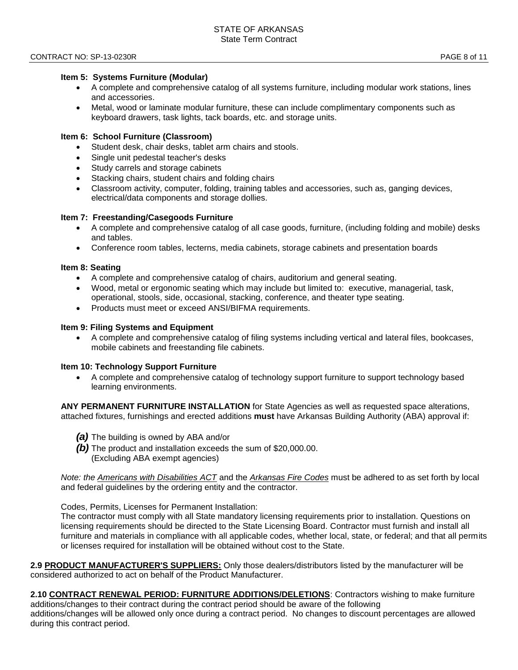#### **Item 5: Systems Furniture (Modular)**

- A complete and comprehensive catalog of all systems furniture, including modular work stations, lines and accessories.
- Metal, wood or laminate modular furniture, these can include complimentary components such as keyboard drawers, task lights, tack boards, etc. and storage units.

#### **Item 6: School Furniture (Classroom)**

- Student desk, chair desks, tablet arm chairs and stools.
- Single unit pedestal teacher's desks
- Study carrels and storage cabinets
- Stacking chairs, student chairs and folding chairs
- Classroom activity, computer, folding, training tables and accessories, such as, ganging devices, electrical/data components and storage dollies.

#### **Item 7: Freestanding/Casegoods Furniture**

- A complete and comprehensive catalog of all case goods, furniture, (including folding and mobile) desks and tables.
- Conference room tables, lecterns, media cabinets, storage cabinets and presentation boards

#### **Item 8: Seating**

- A complete and comprehensive catalog of chairs, auditorium and general seating.
- Wood, metal or ergonomic seating which may include but limited to: executive, managerial, task, operational, stools, side, occasional, stacking, conference, and theater type seating.
- Products must meet or exceed ANSI/BIFMA requirements.

#### **Item 9: Filing Systems and Equipment**

• A complete and comprehensive catalog of filing systems including vertical and lateral files, bookcases, mobile cabinets and freestanding file cabinets.

#### **Item 10: Technology Support Furniture**

• A complete and comprehensive catalog of technology support furniture to support technology based learning environments.

**ANY PERMANENT FURNITURE INSTALLATION** for State Agencies as well as requested space alterations, attached fixtures, furnishings and erected additions **must** have Arkansas Building Authority (ABA) approval if:

- *(a)* The building is owned by ABA and/or
- *(b)* The product and installation exceeds the sum of \$20,000.00. (Excluding ABA exempt agencies)

*Note: the Americans with Disabilities ACT* and the *Arkansas Fire Codes* must be adhered to as set forth by local and federal guidelines by the ordering entity and the contractor.

Codes, Permits, Licenses for Permanent Installation:

The contractor must comply with all State mandatory licensing requirements prior to installation. Questions on licensing requirements should be directed to the State Licensing Board. Contractor must furnish and install all furniture and materials in compliance with all applicable codes, whether local, state, or federal; and that all permits or licenses required for installation will be obtained without cost to the State.

**2.9 PRODUCT MANUFACTURER'S SUPPLIERS:** Only those dealers/distributors listed by the manufacturer will be considered authorized to act on behalf of the Product Manufacturer.

**2.10 CONTRACT RENEWAL PERIOD: FURNITURE ADDITIONS/DELETIONS**: Contractors wishing to make furniture additions/changes to their contract during the contract period should be aware of the following additions/changes will be allowed only once during a contract period. No changes to discount percentages are allowed during this contract period.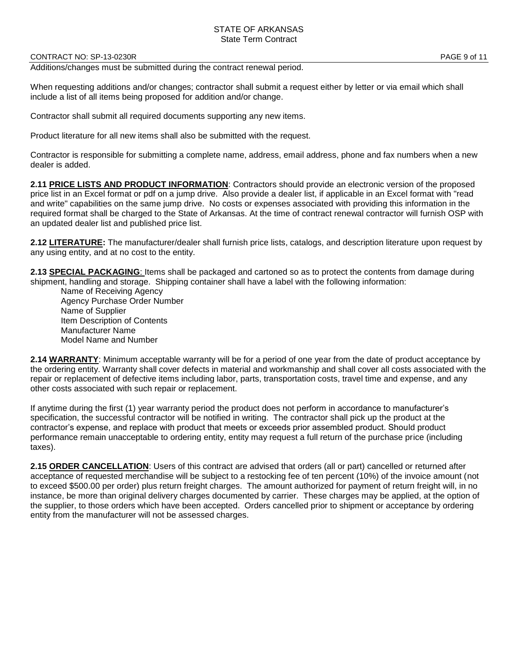#### CONTRACT NO: SP-13-0230R PAGE 9 of 11

Additions/changes must be submitted during the contract renewal period.

When requesting additions and/or changes; contractor shall submit a request either by letter or via email which shall include a list of all items being proposed for addition and/or change.

Contractor shall submit all required documents supporting any new items.

Product literature for all new items shall also be submitted with the request.

Contractor is responsible for submitting a complete name, address, email address, phone and fax numbers when a new dealer is added.

**2.11 PRICE LISTS AND PRODUCT INFORMATION**: Contractors should provide an electronic version of the proposed price list in an Excel format or pdf on a jump drive. Also provide a dealer list, if applicable in an Excel format with "read and write" capabilities on the same jump drive. No costs or expenses associated with providing this information in the required format shall be charged to the State of Arkansas. At the time of contract renewal contractor will furnish OSP with an updated dealer list and published price list.

**2.12 LITERATURE:** The manufacturer/dealer shall furnish price lists, catalogs, and description literature upon request by any using entity, and at no cost to the entity.

**2.13 SPECIAL PACKAGING**: Items shall be packaged and cartoned so as to protect the contents from damage during shipment, handling and storage. Shipping container shall have a label with the following information:

Name of Receiving Agency Agency Purchase Order Number Name of Supplier Item Description of Contents Manufacturer Name Model Name and Number

**2.14 WARRANTY**: Minimum acceptable warranty will be for a period of one year from the date of product acceptance by the ordering entity. Warranty shall cover defects in material and workmanship and shall cover all costs associated with the repair or replacement of defective items including labor, parts, transportation costs, travel time and expense, and any other costs associated with such repair or replacement.

If anytime during the first (1) year warranty period the product does not perform in accordance to manufacturer's specification, the successful contractor will be notified in writing. The contractor shall pick up the product at the contractor's expense, and replace with product that meets or exceeds prior assembled product. Should product performance remain unacceptable to ordering entity, entity may request a full return of the purchase price (including taxes).

**2.15 ORDER CANCELLATION**: Users of this contract are advised that orders (all or part) cancelled or returned after acceptance of requested merchandise will be subject to a restocking fee of ten percent (10%) of the invoice amount (not to exceed \$500.00 per order) plus return freight charges. The amount authorized for payment of return freight will, in no instance, be more than original delivery charges documented by carrier. These charges may be applied, at the option of the supplier, to those orders which have been accepted. Orders cancelled prior to shipment or acceptance by ordering entity from the manufacturer will not be assessed charges.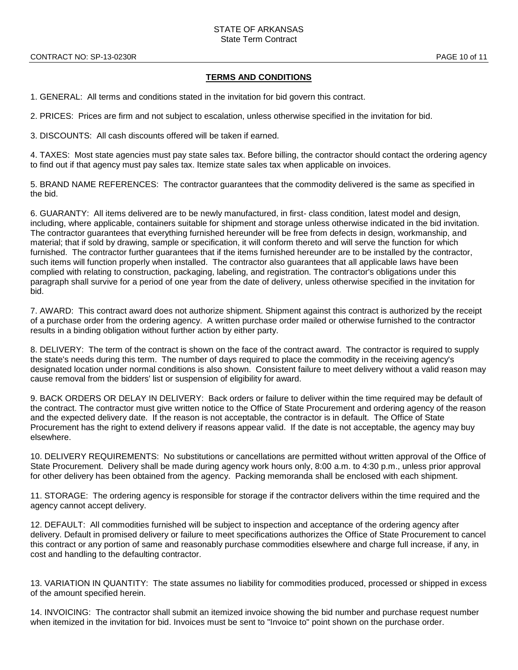#### **TERMS AND CONDITIONS**

1. GENERAL: All terms and conditions stated in the invitation for bid govern this contract.

2. PRICES: Prices are firm and not subject to escalation, unless otherwise specified in the invitation for bid.

3. DISCOUNTS: All cash discounts offered will be taken if earned.

4. TAXES: Most state agencies must pay state sales tax. Before billing, the contractor should contact the ordering agency to find out if that agency must pay sales tax. Itemize state sales tax when applicable on invoices.

5. BRAND NAME REFERENCES: The contractor guarantees that the commodity delivered is the same as specified in the bid.

6. GUARANTY: All items delivered are to be newly manufactured, in first- class condition, latest model and design, including, where applicable, containers suitable for shipment and storage unless otherwise indicated in the bid invitation. The contractor guarantees that everything furnished hereunder will be free from defects in design, workmanship, and material; that if sold by drawing, sample or specification, it will conform thereto and will serve the function for which furnished. The contractor further guarantees that if the items furnished hereunder are to be installed by the contractor, such items will function properly when installed. The contractor also guarantees that all applicable laws have been complied with relating to construction, packaging, labeling, and registration. The contractor's obligations under this paragraph shall survive for a period of one year from the date of delivery, unless otherwise specified in the invitation for bid.

7. AWARD: This contract award does not authorize shipment. Shipment against this contract is authorized by the receipt of a purchase order from the ordering agency. A written purchase order mailed or otherwise furnished to the contractor results in a binding obligation without further action by either party.

8. DELIVERY: The term of the contract is shown on the face of the contract award. The contractor is required to supply the state's needs during this term. The number of days required to place the commodity in the receiving agency's designated location under normal conditions is also shown. Consistent failure to meet delivery without a valid reason may cause removal from the bidders' list or suspension of eligibility for award.

9. BACK ORDERS OR DELAY IN DELIVERY: Back orders or failure to deliver within the time required may be default of the contract. The contractor must give written notice to the Office of State Procurement and ordering agency of the reason and the expected delivery date. If the reason is not acceptable, the contractor is in default. The Office of State Procurement has the right to extend delivery if reasons appear valid. If the date is not acceptable, the agency may buy elsewhere.

10. DELIVERY REQUIREMENTS: No substitutions or cancellations are permitted without written approval of the Office of State Procurement. Delivery shall be made during agency work hours only, 8:00 a.m. to 4:30 p.m., unless prior approval for other delivery has been obtained from the agency. Packing memoranda shall be enclosed with each shipment.

11. STORAGE: The ordering agency is responsible for storage if the contractor delivers within the time required and the agency cannot accept delivery.

12. DEFAULT: All commodities furnished will be subject to inspection and acceptance of the ordering agency after delivery. Default in promised delivery or failure to meet specifications authorizes the Office of State Procurement to cancel this contract or any portion of same and reasonably purchase commodities elsewhere and charge full increase, if any, in cost and handling to the defaulting contractor.

13. VARIATION IN QUANTITY: The state assumes no liability for commodities produced, processed or shipped in excess of the amount specified herein.

14. INVOICING: The contractor shall submit an itemized invoice showing the bid number and purchase request number when itemized in the invitation for bid. Invoices must be sent to "Invoice to" point shown on the purchase order.